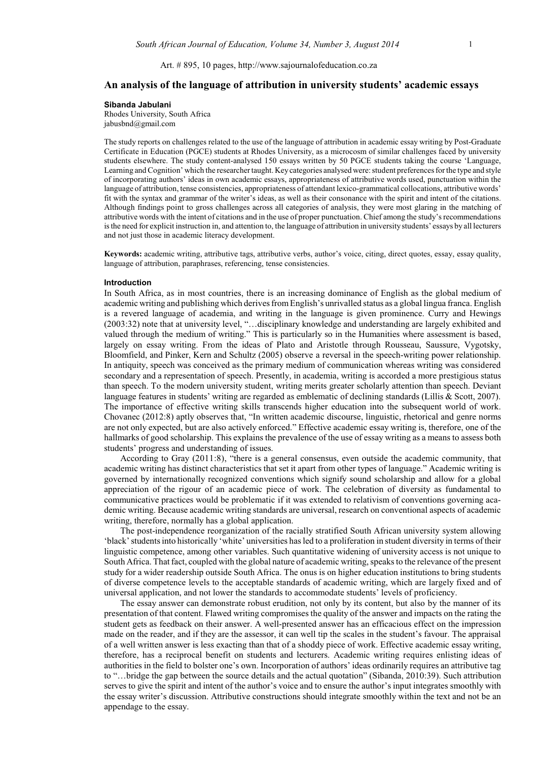Art. # 895, 10 pages, http://www.sajournalofeducation.co.za

# **An analysis of the language of attribution in university students' academic essays**

## **Sibanda Jabulani**

Rhodes University, South Africa jabusbnd@gmail.com

The study reports on challenges related to the use of the language of attribution in academic essay writing by Post-Graduate Certificate in Education (PGCE) students at Rhodes University, as a microcosm of similar challenges faced by university students elsewhere. The study content-analysed 150 essays written by 50 PGCE students taking the course 'Language, Learning and Cognition' which the researcher taught. Keycategories analysed were: student preferences for the type and style of incorporating authors' ideas in own academic essays, appropriateness of attributive words used, punctuation within the language of attribution, tense consistencies, appropriateness of attendant lexico-grammatical collocations, attributive words' fit with the syntax and grammar of the writer's ideas, as well as their consonance with the spirit and intent of the citations. Although findings point to gross challenges across all categories of analysis, they were most glaring in the matching of attributive words with the intent of citations and in the use of proper punctuation. Chief among the study's recommendations is the need for explicit instruction in, and attention to, the language of attribution in university students' essays by all lecturers and not just those in academic literacy development.

**Keywords:** academic writing, attributive tags, attributive verbs, author's voice, citing, direct quotes, essay, essay quality, language of attribution, paraphrases, referencing, tense consistencies.

#### **Introduction**

In South Africa, as in most countries, there is an increasing dominance of English as the global medium of academic writing and publishing which derives from English's unrivalled status as a global lingua franca. English is a revered language of academia, and writing in the language is given prominence. Curry and Hewings (2003:32) note that at university level, "…disciplinary knowledge and understanding are largely exhibited and valued through the medium of writing." This is particularly so in the Humanities where assessment is based, largely on essay writing. From the ideas of Plato and Aristotle through Rousseau, Saussure, Vygotsky, Bloomfield, and Pinker, Kern and Schultz (2005) observe a reversal in the speech-writing power relationship. In antiquity, speech was conceived as the primary medium of communication whereas writing was considered secondary and a representation of speech. Presently, in academia, writing is accorded a more prestigious status than speech. To the modern university student, writing merits greater scholarly attention than speech. Deviant language features in students' writing are regarded as emblematic of declining standards (Lillis & Scott, 2007). The importance of effective writing skills transcends higher education into the subsequent world of work. Chovanec (2012:8) aptly observes that, "In written academic discourse, linguistic, rhetorical and genre norms are not only expected, but are also actively enforced." Effective academic essay writing is, therefore, one of the hallmarks of good scholarship. This explains the prevalence of the use of essay writing as a means to assess both students' progress and understanding of issues.

According to Gray (2011:8), "there is a general consensus, even outside the academic community, that academic writing has distinct characteristics that set it apart from other types of language." Academic writing is governed by internationally recognized conventions which signify sound scholarship and allow for a global appreciation of the rigour of an academic piece of work. The celebration of diversity as fundamental to communicative practices would be problematic if it was extended to relativism of conventions governing academic writing. Because academic writing standards are universal, research on conventional aspects of academic writing, therefore, normally has a global application.

The post-independence reorganization of the racially stratified South African university system allowing 'black'students into historically 'white' universities has led to a proliferation in student diversity in terms of their linguistic competence, among other variables. Such quantitative widening of university access is not unique to South Africa. That fact, coupled with the global nature of academic writing, speaks to the relevance of the present study for a wider readership outside South Africa. The onus is on higher education institutions to bring students of diverse competence levels to the acceptable standards of academic writing, which are largely fixed and of universal application, and not lower the standards to accommodate students' levels of proficiency.

The essay answer can demonstrate robust erudition, not only by its content, but also by the manner of its presentation of that content. Flawed writing compromises the quality of the answer and impacts on the rating the student gets as feedback on their answer. A well-presented answer has an efficacious effect on the impression made on the reader, and if they are the assessor, it can well tip the scales in the student's favour. The appraisal of a well written answer is less exacting than that of a shoddy piece of work. Effective academic essay writing, therefore, has a reciprocal benefit on students and lecturers. Academic writing requires enlisting ideas of authorities in the field to bolster one's own. Incorporation of authors' ideas ordinarily requires an attributive tag to "…bridge the gap between the source details and the actual quotation" (Sibanda, 2010:39). Such attribution serves to give the spirit and intent of the author's voice and to ensure the author's input integrates smoothly with the essay writer's discussion. Attributive constructions should integrate smoothly within the text and not be an appendage to the essay.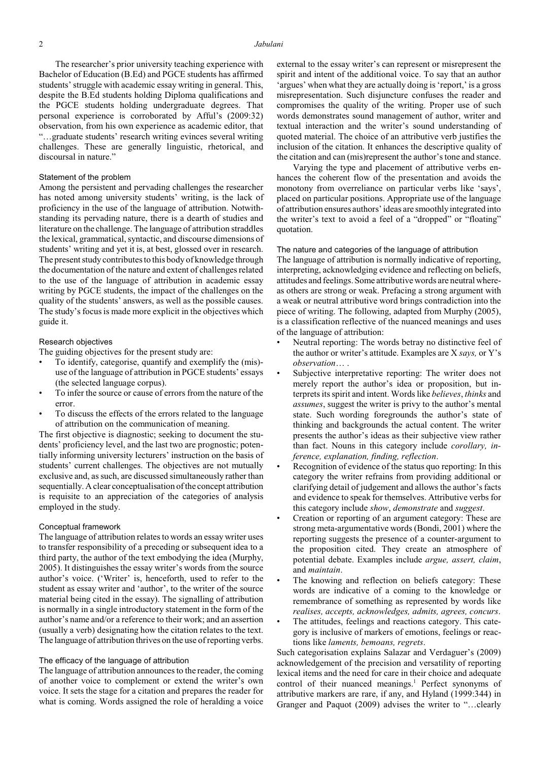#### 2 *Jabulani*

The researcher's prior university teaching experience with Bachelor of Education (B.Ed) and PGCE students has affirmed students' struggle with academic essay writing in general. This, despite the B.Ed students holding Diploma qualifications and the PGCE students holding undergraduate degrees. That personal experience is corroborated by Afful's (2009:32) observation, from his own experience as academic editor, that "…graduate students' research writing evinces several writing challenges. These are generally linguistic, rhetorical, and discoursal in nature."

## Statement of the problem

Among the persistent and pervading challenges the researcher has noted among university students' writing, is the lack of proficiency in the use of the language of attribution. Notwithstanding its pervading nature, there is a dearth of studies and literature on the challenge. The language of attribution straddles the lexical, grammatical, syntactic, and discourse dimensions of students' writing and yet it is, at best, glossed over in research. The present study contributes to this body of knowledge through the documentation of the nature and extent of challenges related to the use of the language of attribution in academic essay writing by PGCE students, the impact of the challenges on the quality of the students' answers, as well as the possible causes. The study's focus is made more explicit in the objectives which guide it.

## Research objectives

The guiding objectives for the present study are:

- To identify, categorise, quantify and exemplify the (mis) use of the language of attribution in PGCE students' essays (the selected language corpus).
- To infer the source or cause of errors from the nature of the error.
- To discuss the effects of the errors related to the language of attribution on the communication of meaning.

The first objective is diagnostic; seeking to document the students' proficiency level, and the last two are prognostic; potentially informing university lecturers' instruction on the basis of students' current challenges. The objectives are not mutually exclusive and, as such, are discussed simultaneously rather than sequentially. Aclear conceptualisation of the concept attribution is requisite to an appreciation of the categories of analysis employed in the study.

### Conceptual framework

The language of attribution relates to words an essay writer uses to transfer responsibility of a preceding or subsequent idea to a third party, the author of the text embodying the idea (Murphy, 2005). It distinguishes the essay writer's words from the source author's voice. ('Writer' is, henceforth, used to refer to the student as essay writer and 'author', to the writer of the source material being cited in the essay). The signalling of attribution is normally in a single introductory statement in the form of the author's name and/or a reference to their work; and an assertion (usually a verb) designating how the citation relates to the text. The language of attribution thrives on the use of reporting verbs.

### The efficacy of the language of attribution

The language of attribution announces to the reader, the coming of another voice to complement or extend the writer's own voice. It sets the stage for a citation and prepares the reader for what is coming. Words assigned the role of heralding a voice

external to the essay writer's can represent or misrepresent the spirit and intent of the additional voice. To say that an author 'argues' when what they are actually doing is 'report,' is a gross misrepresentation. Such disjuncture confuses the reader and compromises the quality of the writing. Proper use of such words demonstrates sound management of author, writer and textual interaction and the writer's sound understanding of quoted material. The choice of an attributive verb justifies the inclusion of the citation. It enhances the descriptive quality of the citation and can (mis)represent the author'stone and stance.

Varying the type and placement of attributive verbs enhances the coherent flow of the presentation and avoids the monotony from overreliance on particular verbs like 'says', placed on particular positions. Appropriate use of the language of attribution ensures authors'ideas are smoothlyintegrated into the writer's text to avoid a feel of a "dropped" or "floating" quotation.

#### The nature and categories of the language of attribution

The language of attribution is normally indicative of reporting, interpreting, acknowledging evidence and reflecting on beliefs, attitudes and feelings. Some attributive words are neutral whereas others are strong or weak. Prefacing a strong argument with a weak or neutral attributive word brings contradiction into the piece of writing. The following, adapted from Murphy (2005), is a classification reflective of the nuanced meanings and uses of the language of attribution:

- Neutral reporting: The words betray no distinctive feel of the author or writer's attitude. Examples are X *says,* or Y's *observation*… .
- Subjective interpretative reporting: The writer does not merely report the author's idea or proposition, but interprets its spirit and intent. Words like *believes*, *thinks* and *assumes*, suggest the writer is privy to the author's mental state. Such wording foregrounds the author's state of thinking and backgrounds the actual content. The writer presents the author's ideas as their subjective view rather than fact. Nouns in this category include *corollary, inference, explanation, finding, reflection*.
- Recognition of evidence of the status quo reporting: In this category the writer refrains from providing additional or clarifying detail of judgement and allows the author's facts and evidence to speak for themselves. Attributive verbs for this category include *show*, *demonstrate* and *suggest*.
- Creation or reporting of an argument category: These are strong meta-argumentative words (Bondi, 2001) where the reporting suggests the presence of a counter-argument to the proposition cited. They create an atmosphere of potential debate. Examples include *argue, assert, claim*, and *maintain*.
- The knowing and reflection on beliefs category: These words are indicative of a coming to the knowledge or remembrance of something as represented by words like *realises, accepts, acknowledges, admits, agrees, concurs*.
- The attitudes, feelings and reactions category. This category is inclusive of markers of emotions, feelings or reactions like *laments, bemoans, regrets*.

Such categorisation explains Salazar and Verdaguer's (2009) acknowledgement of the precision and versatility of reporting lexical items and the need for care in their choice and adequate control of their nuanced meanings.<sup>1</sup> Perfect synonyms of attributive markers are rare, if any, and Hyland (1999:344) in Granger and Paquot (2009) advises the writer to "…clearly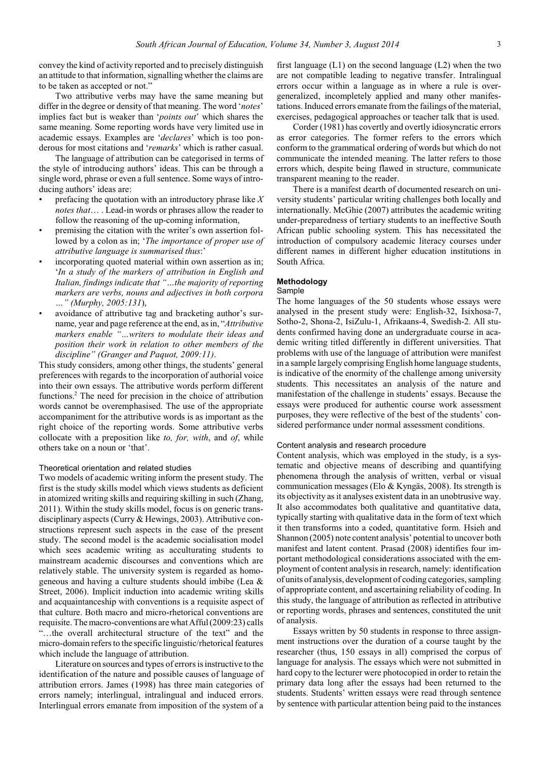convey the kind of activity reported and to precisely distinguish an attitude to that information, signalling whether the claims are to be taken as accepted or not."

Two attributive verbs may have the same meaning but differ in the degree or density of that meaning. The word '*notes*' implies fact but is weaker than '*points out*' which shares the same meaning. Some reporting words have very limited use in academic essays. Examples are '*declares*' which is too ponderous for most citations and '*remarks*' which is rather casual.

The language of attribution can be categorised in terms of the style of introducing authors' ideas. This can be through a single word, phrase or even a full sentence. Some ways of introducing authors' ideas are:

- prefacing the quotation with an introductory phrase like *X notes that*… . Lead-in words or phrases allow the reader to follow the reasoning of the up-coming information,
- premising the citation with the writer's own assertion followed by a colon as in; '*The importance of proper use of attributive language is summarised thus*:'
- incorporating quoted material within own assertion as in; '*In a study of the markers of attribution in English and Italian, findings indicate that "…the majority of reporting markers are verbs, nouns and adjectives in both corpora …" (Murphy, 2005:131*),
- avoidance of attributive tag and bracketing author's surname, year and page reference at the end, as in, "*Attributive markers enable "…writers to modulate their ideas and position their work in relation to other members of the discipline" (Granger and Paquot, 2009:11)*.

This study considers, among other things, the students' general preferences with regards to the incorporation of authorial voice into their own essays. The attributive words perform different functions. $<sup>2</sup>$  The need for precision in the choice of attribution</sup> words cannot be overemphasised. The use of the appropriate accompaniment for the attributive words is as important as the right choice of the reporting words. Some attributive verbs collocate with a preposition like *to, for, with*, and *of*, while others take on a noun or 'that'.

## Theoretical orientation and related studies

Two models of academic writing inform the present study. The first is the study skills model which views students as deficient in atomized writing skills and requiring skilling in such (Zhang, 2011). Within the study skills model, focus is on generic transdisciplinary aspects (Curry & Hewings, 2003). Attributive constructions represent such aspects in the case of the present study. The second model is the academic socialisation model which sees academic writing as acculturating students to mainstream academic discourses and conventions which are relatively stable. The university system is regarded as homogeneous and having a culture students should imbibe (Lea & Street, 2006). Implicit induction into academic writing skills and acquaintanceship with conventions is a requisite aspect of that culture. Both macro and micro-rhetorical conventions are requisite. The macro-conventions are what Afful (2009:23) calls "…the overall architectural structure of the text" and the micro-domain refers to the specific linguistic/rhetorical features which include the language of attribution.

Literature on sources and types of errors is instructive to the identification of the nature and possible causes of language of attribution errors. James (1998) has three main categories of errors namely; interlingual, intralingual and induced errors. Interlingual errors emanate from imposition of the system of a

first language  $(L1)$  on the second language  $(L2)$  when the two are not compatible leading to negative transfer. Intralingual errors occur within a language as in where a rule is overgeneralized, incompletely applied and many other manifestations. Induced errors emanate fromthe failings of the material, exercises, pedagogical approaches or teacher talk that is used.

Corder (1981) has covertly and overtly idiosyncratic errors as error categories. The former refers to the errors which conform to the grammatical ordering of words but which do not communicate the intended meaning. The latter refers to those errors which, despite being flawed in structure, communicate transparent meaning to the reader.

There is a manifest dearth of documented research on university students' particular writing challenges both locally and internationally. McGhie (2007) attributes the academic writing under-preparedness of tertiary students to an ineffective South African public schooling system. This has necessitated the introduction of compulsory academic literacy courses under different names in different higher education institutions in South Africa.

# **Methodology**

# Sample

The home languages of the 50 students whose essays were analysed in the present study were: English-32, Isixhosa-7, Sotho-2, Shona-2, IsiZulu-1, Afrikaans-4, Swedish-2. All students confirmed having done an undergraduate course in academic writing titled differently in different universities. That problems with use of the language of attribution were manifest in a sample largely comprising English home language students, is indicative of the enormity of the challenge among university students. This necessitates an analysis of the nature and manifestation of the challenge in students' essays. Because the essays were produced for authentic course work assessment purposes, they were reflective of the best of the students' considered performance under normal assessment conditions.

### Content analysis and research procedure

Content analysis, which was employed in the study, is a systematic and objective means of describing and quantifying phenomena through the analysis of written, verbal or visual communication messages (Elo & Kyngäs, 2008). Its strength is its objectivity as it analyses existent data in an unobtrusive way. It also accommodates both qualitative and quantitative data, typically starting with qualitative data in the form of text which it then transforms into a coded, quantitative form. Hsieh and Shannon (2005) note content analysis' potential to uncover both manifest and latent content. Prasad (2008) identifies four important methodological considerations associated with the employment of content analysis in research, namely: identification of units of analysis, development of coding categories, sampling of appropriate content, and ascertaining reliability of coding. In this study, the language of attribution as reflected in attributive or reporting words, phrases and sentences, constituted the unit of analysis.

Essays written by 50 students in response to three assignment instructions over the duration of a course taught by the researcher (thus, 150 essays in all) comprised the corpus of language for analysis. The essays which were not submitted in hard copy to the lecturer were photocopied in order to retain the primary data long after the essays had been returned to the students. Students' written essays were read through sentence by sentence with particular attention being paid to the instances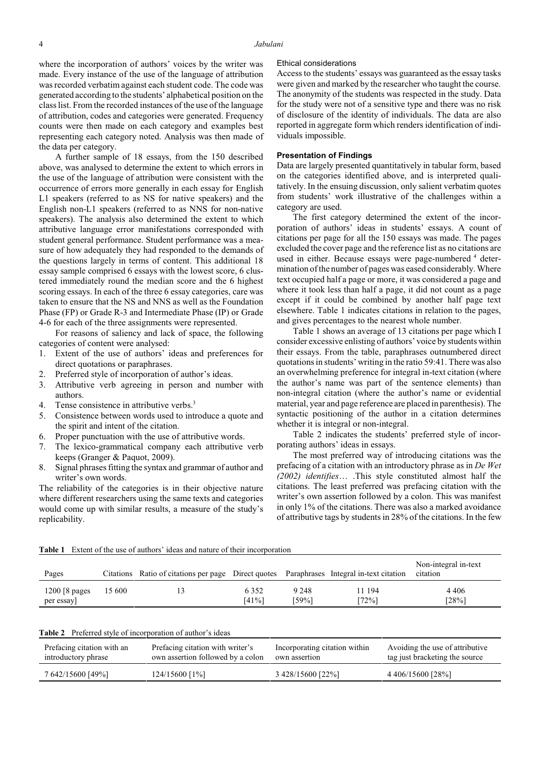where the incorporation of authors' voices by the writer was made. Every instance of the use of the language of attribution was recorded verbatim against each student code. The code was generated according to the students' alphabetical position on the class list. From the recorded instances of the use of the language of attribution, codes and categories were generated. Frequency counts were then made on each category and examples best representing each category noted. Analysis was then made of the data per category.

A further sample of 18 essays, from the 150 described above, was analysed to determine the extent to which errors in the use of the language of attribution were consistent with the occurrence of errors more generally in each essay for English L1 speakers (referred to as NS for native speakers) and the English non-L1 speakers (referred to as NNS for non-native speakers). The analysis also determined the extent to which attributive language error manifestations corresponded with student general performance. Student performance was a measure of how adequately they had responded to the demands of the questions largely in terms of content. This additional 18 essay sample comprised 6 essays with the lowest score, 6 clustered immediately round the median score and the 6 highest scoring essays. In each of the three 6 essay categories, care was taken to ensure that the NS and NNS as well as the Foundation Phase (FP) or Grade R-3 and Intermediate Phase (IP) or Grade 4-6 for each of the three assignments were represented.

For reasons of saliency and lack of space, the following categories of content were analysed:

- 1. Extent of the use of authors' ideas and preferences for direct quotations or paraphrases.
- 2. Preferred style of incorporation of author's ideas.
- 3. Attributive verb agreeing in person and number with authors.
- 4. Tense consistence in attributive verbs.<sup>3</sup>
- 5. Consistence between words used to introduce a quote and the spirit and intent of the citation.
- 6. Proper punctuation with the use of attributive words.
- 7. The lexico-grammatical company each attributive verb keeps (Granger & Paquot, 2009).
- 8. Signal phrases fitting the syntax and grammar of author and writer's own words.

The reliability of the categories is in their objective nature where different researchers using the same texts and categories would come up with similar results, a measure of the study's replicability.

## Ethical considerations

Access to the students' essays was guaranteed as the essay tasks were given and marked by the researcher who taught the course. The anonymity of the students was respected in the study. Data for the study were not of a sensitive type and there was no risk of disclosure of the identity of individuals. The data are also reported in aggregate form which renders identification of individuals impossible.

## **Presentation of Findings**

Data are largely presented quantitatively in tabular form, based on the categories identified above, and is interpreted qualitatively. In the ensuing discussion, only salient verbatim quotes from students' work illustrative of the challenges within a category are used.

The first category determined the extent of the incorporation of authors' ideas in students' essays. A count of citations per page for all the 150 essays was made. The pages excluded the cover page and the reference list as no citations are used in either. Because essays were page-numbered <sup>4</sup> determination of the number of pages was eased considerably. Where text occupied half a page or more, it was considered a page and where it took less than half a page, it did not count as a page except if it could be combined by another half page text elsewhere. Table 1 indicates citations in relation to the pages, and gives percentages to the nearest whole number.

Table 1 shows an average of 13 citations per page which I consider excessive enlisting of authors' voice by students within their essays. From the table, paraphrases outnumbered direct quotations in students' writing in the ratio 59:41. There was also an overwhelming preference for integral in-text citation (where the author's name was part of the sentence elements) than non-integral citation (where the author's name or evidential material, year and page reference are placed in parenthesis). The syntactic positioning of the author in a citation determines whether it is integral or non-integral.

Table 2 indicates the students' preferred style of incorporating authors' ideas in essays.

The most preferred way of introducing citations was the prefacing of a citation with an introductory phrase as in *De Wet (2002) identifies*… .This style constituted almost half the citations. The least preferred was prefacing citation with the writer's own assertion followed by a colon. This was manifest in only 1% of the citations. There was also a marked avoidance of attributive tags by students in 28% of the citations. In the few

| Pages                         |        | Citations Ratio of citations per page Direct quotes Paraphrases Integral in-text citation |                     |                  |                 | Non-integral in-text<br>citation |
|-------------------------------|--------|-------------------------------------------------------------------------------------------|---------------------|------------------|-----------------|----------------------------------|
| $1200$ [8 pages]<br>per essay | 15 600 |                                                                                           | 6 3 5 2<br>$[41\%]$ | 9 2 4 8<br>[59%] | 11 194<br>[72%] | 4 4 0 6<br>[28%]                 |

**Table 1** Extent of the use of authors' ideas and nature of their incorporation

|  |  |  |  |  | <b>Table 2</b> Preferred style of incorporation of author's ideas |
|--|--|--|--|--|-------------------------------------------------------------------|
|--|--|--|--|--|-------------------------------------------------------------------|

| Prefacing citation with an | Prefacing citation with writer's  | Incorporating citation within | Avoiding the use of attributive |
|----------------------------|-----------------------------------|-------------------------------|---------------------------------|
| introductory phrase        | own assertion followed by a colon | own assertion                 | tag just bracketing the source  |
| 7 642/15600 [49%]          | $124/15600$ [1%]                  | 3 428/15600 [22%]             | 4 406/15600 [28%]               |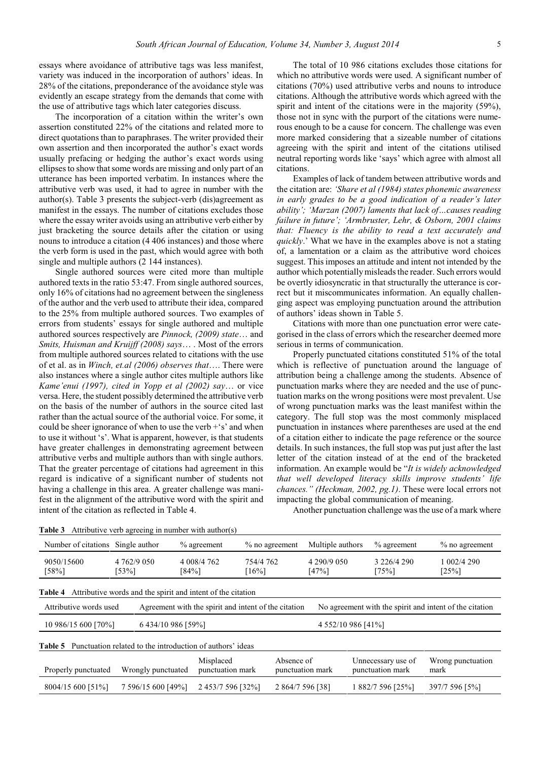essays where avoidance of attributive tags was less manifest, variety was induced in the incorporation of authors' ideas. In 28% of the citations, preponderance of the avoidance style was evidently an escape strategy from the demands that come with the use of attributive tags which later categories discuss.

The incorporation of a citation within the writer's own assertion constituted 22% of the citations and related more to direct quotations than to paraphrases. The writer provided their own assertion and then incorporated the author's exact words usually prefacing or hedging the author's exact words using ellipses to show that some words are missing and only part of an utterance has been imported verbatim. In instances where the attributive verb was used, it had to agree in number with the author(s). Table 3 presents the subject-verb (dis)agreement as manifest in the essays. The number of citations excludes those where the essay writer avoids using an attributive verb either by just bracketing the source details after the citation or using nouns to introduce a citation (4 406 instances) and those where the verb form is used in the past, which would agree with both single and multiple authors (2 144 instances).

Single authored sources were cited more than multiple authored texts in the ratio 53:47. From single authored sources, only 16% of citations had no agreement between the singleness of the author and the verb used to attribute their idea, compared to the 25% from multiple authored sources. Two examples of errors from students' essays for single authored and multiple authored sources respectively are *Pinnock, (2009) state*… and *Smits, Huisman and Kruijff (2008) says*… . Most of the errors from multiple authored sources related to citations with the use of et al. as in *Winch, et.al (2006) observes that*…. There were also instances where a single author cites multiple authors like *Kame'enui (1997), cited in Yopp et al (2002) say*… or vice versa. Here, the student possibly determined the attributive verb on the basis of the number of authors in the source cited last rather than the actual source of the authorial voice. For some, it could be sheer ignorance of when to use the verb +'s' and when to use it without 's'. What is apparent, however, is that students have greater challenges in demonstrating agreement between attributive verbs and multiple authors than with single authors. That the greater percentage of citations had agreement in this regard is indicative of a significant number of students not having a challenge in this area. A greater challenge was manifest in the alignment of the attributive word with the spirit and intent of the citation as reflected in Table 4.

The total of 10 986 citations excludes those citations for which no attributive words were used. A significant number of citations (70%) used attributive verbs and nouns to introduce citations. Although the attributive words which agreed with the spirit and intent of the citations were in the majority (59%). those not in sync with the purport of the citations were numerous enough to be a cause for concern. The challenge was even more marked considering that a sizeable number of citations agreeing with the spirit and intent of the citations utilised neutral reporting words like 'says' which agree with almost all citations.

Examples of lack of tandem between attributive words and the citation are: *'Share et al (1984) states phonemic awareness in early grades to be a good indication of a reader's later ability'; 'Marzan (2007) laments that lack of…causes reading failure in future'; 'Armbruster, Lehr, & Osborn, 2001 claims that: Fluency is the ability to read a text accurately and quickly*.' What we have in the examples above is not a stating of, a lamentation or a claim as the attributive word choices suggest. This imposes an attitude and intent not intended by the author which potentiallymisleads the reader. Such errors would be overtly idiosyncratic in that structurally the utterance is correct but it miscommunicates information. An equally challenging aspect was employing punctuation around the attribution of authors' ideas shown in Table 5.

Citations with more than one punctuation error were categorised in the class of errors which the researcher deemed more serious in terms of communication.

Properly punctuated citations constituted 51% of the total which is reflective of punctuation around the language of attribution being a challenge among the students. Absence of punctuation marks where they are needed and the use of punctuation marks on the wrong positions were most prevalent. Use of wrong punctuation marks was the least manifest within the category. The full stop was the most commonly misplaced punctuation in instances where parentheses are used at the end of a citation either to indicate the page reference or the source details. In such instances, the full stop was put just after the last letter of the citation instead of at the end of the bracketed information. An example would be "*It is widely acknowledged that well developed literacy skills improve students' life chances." (Heckman, 2002, pg.1)*. These were local errors not impacting the global communication of meaning.

Another punctuation challenge was the use of a mark where

| Number of citations Single author |                                                             | $\%$ agreement                | $\%$ no agreement                                    | Multiple authors     | $%$ agreement                          | $\%$ no agreement                                       |
|-----------------------------------|-------------------------------------------------------------|-------------------------------|------------------------------------------------------|----------------------|----------------------------------------|---------------------------------------------------------|
| 9050/15600<br>$[58\%]$            | 4 762/9 050<br>[53%]                                        | 4 008/4 762<br>[84%]          | 754/4 762<br>$[16\%]$                                | 4 290/9 050<br>[47%] | 3 226/4 290<br>$[75\%]$                | 1 002/4 290<br>[25%]                                    |
| <b>Table 4</b>                    | Attributive words and the spirit and intent of the citation |                               |                                                      |                      |                                        |                                                         |
| Attributive words used            |                                                             |                               | Agreement with the spirit and intent of the citation |                      |                                        | No agreement with the spirit and intent of the citation |
| 10 986/15 600 [70%]               | 6 434/10 986 [59%]                                          |                               |                                                      | 4 552/10 986 [41%]   |                                        |                                                         |
| Table 5                           | Punctuation related to the introduction of authors' ideas   |                               |                                                      |                      |                                        |                                                         |
| Properly punctuated               | Wrongly punctuated                                          | Misplaced<br>punctuation mark | Absence of                                           | punctuation mark     | Unnecessary use of<br>punctuation mark | Wrong punctuation<br>mark                               |
| 8004/15 600 [51%]                 | 7 596/15 600 [49%]                                          | 2 453/7 596 [32%]             |                                                      | 2 864/7 596 [38]     | 1 882/7 596 [25%]                      | 397/7 596 [5%]                                          |
|                                   |                                                             |                               |                                                      |                      |                                        |                                                         |

**Table 3** Attributive verb agreeing in number with author(s)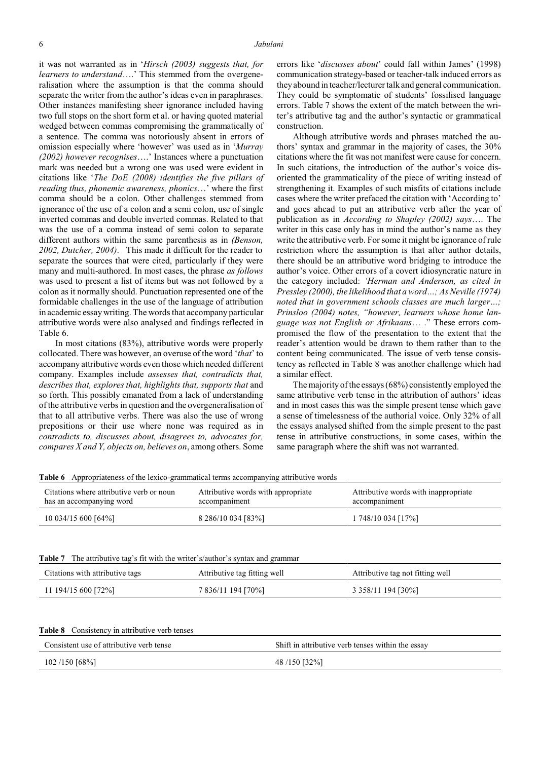it was not warranted as in '*Hirsch (2003) suggests that, for learners to understand*….' This stemmed from the overgeneralisation where the assumption is that the comma should separate the writer from the author's ideas even in paraphrases. Other instances manifesting sheer ignorance included having two full stops on the short form et al. or having quoted material wedged between commas compromising the grammatically of a sentence. The comma was notoriously absent in errors of omission especially where 'however' was used as in '*Murray (2002) however recognises*….' Instances where a punctuation mark was needed but a wrong one was used were evident in citations like '*The DoE (2008) identifies the five pillars of reading thus, phonemic awareness, phonics*…' where the first comma should be a colon. Other challenges stemmed from ignorance of the use of a colon and a semi colon, use of single inverted commas and double inverted commas. Related to that was the use of a comma instead of semi colon to separate different authors within the same parenthesis as in *(Benson, 2002, Dutcher, 2004)*. This made it difficult for the reader to separate the sources that were cited, particularly if they were many and multi-authored. In most cases, the phrase *as follows* was used to present a list of items but was not followed by a colon as it normally should. Punctuation represented one of the formidable challenges in the use of the language of attribution in academic essaywriting. The words that accompany particular attributive words were also analysed and findings reflected in Table 6.

In most citations (83%), attributive words were properly collocated. There was however, an overuse of the word '*that*' to accompany attributive words even those which needed different company. Examples include *assesses that, contradicts that, describes that, explores that, highlights that, supports that* and so forth. This possibly emanated from a lack of understanding of the attributive verbs in question and the overgeneralisation of that to all attributive verbs. There was also the use of wrong prepositions or their use where none was required as in *contradicts to, discusses about, disagrees to, advocates for, compares X and Y, objects on, believes on*, among others. Some

errors like '*discusses about*' could fall within James' (1998) communication strategy-based or teacher-talk induced errors as theyabound in teacher/lecturer talk and general communication. They could be symptomatic of students' fossilised language errors. Table 7 shows the extent of the match between the writer's attributive tag and the author's syntactic or grammatical construction.

Although attributive words and phrases matched the authors' syntax and grammar in the majority of cases, the 30% citations where the fit was not manifest were cause for concern. In such citations, the introduction of the author's voice disoriented the grammaticality of the piece of writing instead of strengthening it. Examples of such misfits of citations include cases where the writer prefaced the citation with 'According to' and goes ahead to put an attributive verb after the year of publication as in *According to Shapley (2002) says*…. The writer in this case only has in mind the author's name as they write the attributive verb. For some it might be ignorance of rule restriction where the assumption is that after author details, there should be an attributive word bridging to introduce the author's voice. Other errors of a covert idiosyncratic nature in the category included: *'Herman and Anderson, as cited in Pressley (2000), the likelihood that a word…; As Neville (1974) noted that in government schools classes are much larger…; Prinsloo (2004) notes, "however, learners whose home language was not English or Afrikaans*… ." These errors compromised the flow of the presentation to the extent that the reader's attention would be drawn to them rather than to the content being communicated. The issue of verb tense consistency as reflected in Table 8 was another challenge which had a similar effect.

The majority of the essays (68%) consistentlyemployed the same attributive verb tense in the attribution of authors' ideas and in most cases this was the simple present tense which gave a sense of timelessness of the authorial voice. Only 32% of all the essays analysed shifted from the simple present to the past tense in attributive constructions, in some cases, within the same paragraph where the shift was not warranted.

| Citations where attributive verb or noun<br>has an accompanying word                                                  | Attributive words with appropriate<br>accompaniment | Attributive words with inappropriate<br>accompaniment |  |
|-----------------------------------------------------------------------------------------------------------------------|-----------------------------------------------------|-------------------------------------------------------|--|
| 10 034/15 600 [64%]                                                                                                   | 8 286/10 034 [83%]                                  | 1 748/10 034 [17%]                                    |  |
|                                                                                                                       |                                                     |                                                       |  |
| The attributive tag's fit with the writer's/author's syntax and grammar<br>Table 7<br>Citations with attributive tags | Attributive tag fitting well                        | Attributive tag not fitting well                      |  |

| <b>Table 8</b> Consistency in attributive verb tenses |
|-------------------------------------------------------|
|-------------------------------------------------------|

| Consistent use of attributive verb tense | Shift in attributive verb tenses within the essay |
|------------------------------------------|---------------------------------------------------|
| 102/150 [68%]                            | 48/150 [32%]                                      |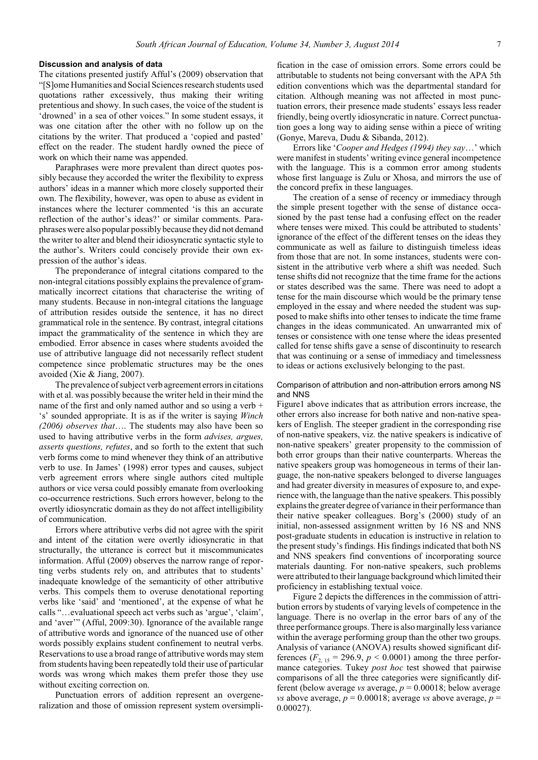## **Discussion and analysis of data**

The citations presented justify Afful's (2009) observation that "[S]ome Humanities and Social Sciences research students used quotations rather excessively, thus making their writing pretentious and showy. In such cases, the voice of the student is 'drowned' in a sea of other voices." In some student essays, it was one citation after the other with no follow up on the citations by the writer. That produced a 'copied and pasted' effect on the reader. The student hardly owned the piece of work on which their name was appended.

Paraphrases were more prevalent than direct quotes possibly because they accorded the writer the flexibility to express authors' ideas in a manner which more closely supported their own. The flexibility, however, was open to abuse as evident in instances where the lecturer commented 'is this an accurate reflection of the author's ideas?' or similar comments. Paraphrases were also popular possibly because they did not demand the writer to alter and blend their idiosyncratic syntactic style to the author's. Writers could concisely provide their own expression of the author's ideas.

The preponderance of integral citations compared to the non-integral citations possibly explains the prevalence of grammatically incorrect citations that characterise the writing of many students. Because in non-integral citations the language of attribution resides outside the sentence, it has no direct grammatical role in the sentence. By contrast, integral citations impact the grammaticality of the sentence in which they are embodied. Error absence in cases where students avoided the use of attributive language did not necessarily reflect student competence since problematic structures may be the ones avoided (Xie & Jiang, 2007).

The prevalence of subject verb agreement errors in citations with et al. was possibly because the writer held in their mind the name of the first and only named author and so using a verb + 's' sounded appropriate. It is as if the writer is saying *Winch (2006) observes that*…. The students may also have been so used to having attributive verbs in the form *advises, argues, asserts questions, refutes*, and so forth to the extent that such verb forms come to mind whenever they think of an attributive verb to use. In James' (1998) error types and causes, subject verb agreement errors where single authors cited multiple authors or vice versa could possibly emanate from overlooking co-occurrence restrictions. Such errors however, belong to the overtly idiosyncratic domain as they do not affect intelligibility of communication.

Errors where attributive verbs did not agree with the spirit and intent of the citation were overtly idiosyncratic in that structurally, the utterance is correct but it miscommunicates information. Afful (2009) observes the narrow range of reporting verbs students rely on, and attributes that to students' inadequate knowledge of the semanticity of other attributive verbs. This compels them to overuse denotational reporting verbs like 'said' and 'mentioned', at the expense of what he calls "…evaluational speech act verbs such as 'argue', 'claim', and 'aver'" (Afful, 2009:30). Ignorance of the available range of attributive words and ignorance of the nuanced use of other words possibly explains student confinement to neutral verbs. Reservations to use a broad range of attributive words may stem from students having been repeatedly told their use of particular words was wrong which makes them prefer those they use without exciting correction on.

Punctuation errors of addition represent an overgeneralization and those of omission represent system oversimplification in the case of omission errors. Some errors could be attributable to students not being conversant with the APA 5th edition conventions which was the departmental standard for citation. Although meaning was not affected in most punctuation errors, their presence made students' essays less reader friendly, being overtly idiosyncratic in nature. Correct punctuation goes a long way to aiding sense within a piece of writing (Gonye, Mareva, Dudu & Sibanda, 2012).

Errors like '*Cooper and Hedges (1994) they say*…' which were manifest in students' writing evince general incompetence with the language. This is a common error among students whose first language is Zulu or Xhosa, and mirrors the use of the concord prefix in these languages.

The creation of a sense of recency or immediacy through the simple present together with the sense of distance occasioned by the past tense had a confusing effect on the reader where tenses were mixed. This could be attributed to students' ignorance of the effect of the different tenses on the ideas they communicate as well as failure to distinguish timeless ideas from those that are not. In some instances, students were consistent in the attributive verb where a shift was needed. Such tense shifts did not recognize that the time frame for the actions or states described was the same. There was need to adopt a tense for the main discourse which would be the primary tense employed in the essay and where needed the student was supposed to make shiftsinto other tensesto indicate the time frame changes in the ideas communicated. An unwarranted mix of tenses or consistence with one tense where the ideas presented called for tense shifts gave a sense of discontinuity to research that was continuing or a sense of immediacy and timelessness to ideas or actions exclusively belonging to the past.

# Comparison of attribution and non-attribution errors among NS and NNS

Figure1 above indicates that as attribution errors increase, the other errors also increase for both native and non-native speakers of English. The steeper gradient in the corresponding rise of non-native speakers, viz. the native speakers is indicative of non-native speakers' greater propensity to the commission of both error groups than their native counterparts. Whereas the native speakers group was homogeneous in terms of their language, the non-native speakers belonged to diverse languages and had greater diversity in measures of exposure to, and experience with, the language than the native speakers. This possibly explains the greater degree of variance in their performance than their native speaker colleagues. Borg's (2000) study of an initial, non-assessed assignment written by 16 NS and NNS post-graduate students in education is instructive in relation to the present study's findings. His findings indicated that both NS and NNS speakers find conventions of incorporating source materials daunting. For non-native speakers, such problems were attributed to their language background which limited their proficiency in establishing textual voice.

Figure 2 depicts the differences in the commission of attribution errors by students of varying levels of competence in the language. There is no overlap in the error bars of any of the three performance groups. There is also marginallyless variance within the average performing group than the other two groups. Analysis of variance (ANOVA) results showed significant differences  $(F_{2, 15} = 296.9, p < 0.0001)$  among the three performance categories. Tukey *post hoc* test showed that pairwise comparisons of all the three categories were significantly different (below average *vs* average, *p* = 0.00018; below average *vs* above average,  $p = 0.00018$ ; average *vs* above average,  $p =$ 0.00027).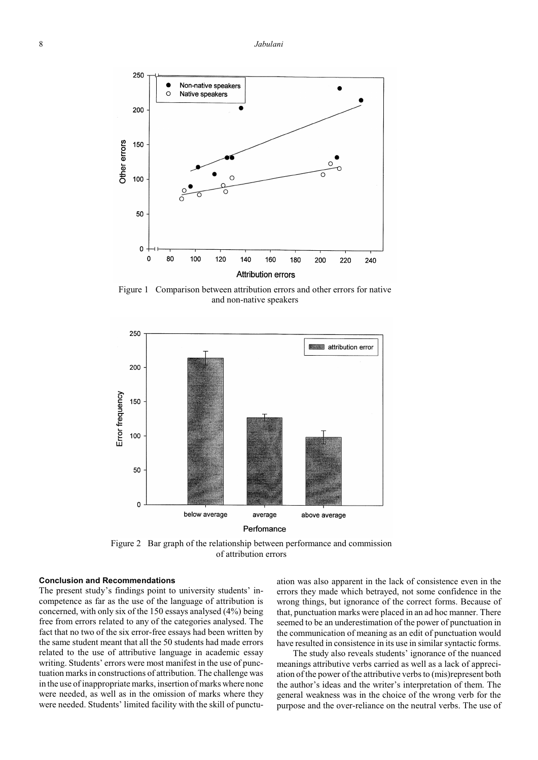

Figure 1 Comparison between attribution errors and other errors for native and non-native speakers



Figure 2 Bar graph of the relationship between performance and commission of attribution errors

## **Conclusion and Recommendations**

The present study's findings point to university students' incompetence as far as the use of the language of attribution is concerned, with only six of the 150 essays analysed (4%) being free from errors related to any of the categories analysed. The fact that no two of the six error-free essays had been written by the same student meant that all the 50 students had made errors related to the use of attributive language in academic essay writing. Students' errors were most manifest in the use of punctuation marks in constructions of attribution. The challenge was in the use of inappropriate marks, insertion of marks where none were needed, as well as in the omission of marks where they were needed. Students' limited facility with the skill of punctuation was also apparent in the lack of consistence even in the errors they made which betrayed, not some confidence in the wrong things, but ignorance of the correct forms. Because of that, punctuation marks were placed in an ad hoc manner. There seemed to be an underestimation of the power of punctuation in the communication of meaning as an edit of punctuation would have resulted in consistence in its use in similar syntactic forms.

The study also reveals students' ignorance of the nuanced meanings attributive verbs carried as well as a lack of appreciation of the power of the attributive verbs to (mis)represent both the author's ideas and the writer's interpretation of them. The general weakness was in the choice of the wrong verb for the purpose and the over-reliance on the neutral verbs. The use of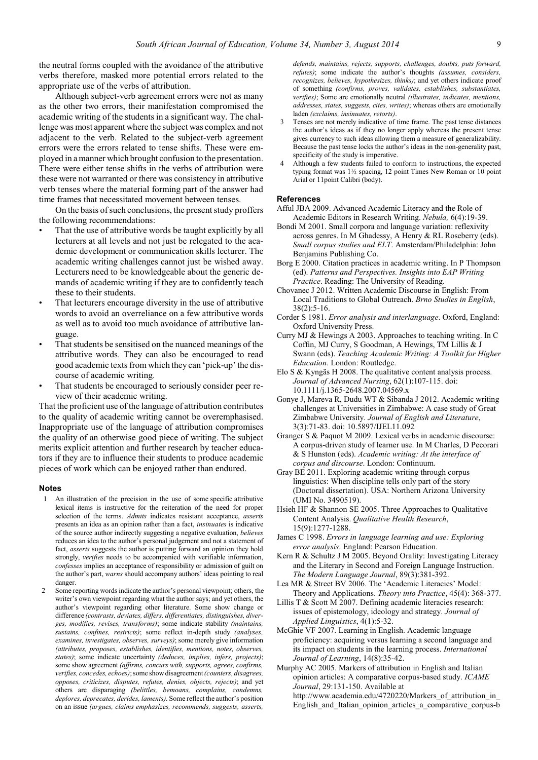the neutral forms coupled with the avoidance of the attributive verbs therefore, masked more potential errors related to the appropriate use of the verbs of attribution.

Although subject-verb agreement errors were not as many as the other two errors, their manifestation compromised the academic writing of the students in a significant way. The challenge was most apparent where the subject was complex and not adjacent to the verb. Related to the subject-verb agreement errors were the errors related to tense shifts. These were employed in a manner which brought confusion to the presentation. There were either tense shifts in the verbs of attribution were these were not warranted or there was consistency in attributive verb tenses where the material forming part of the answer had time frames that necessitated movement between tenses.

On the basis of such conclusions, the present study proffers the following recommendations:

- That the use of attributive words be taught explicitly by all lecturers at all levels and not just be relegated to the academic development or communication skills lecturer. The academic writing challenges cannot just be wished away. Lecturers need to be knowledgeable about the generic demands of academic writing if they are to confidently teach these to their students.
- That lecturers encourage diversity in the use of attributive words to avoid an overreliance on a few attributive words as well as to avoid too much avoidance of attributive language.
- That students be sensitised on the nuanced meanings of the attributive words. They can also be encouraged to read good academic texts from which they can 'pick-up' the discourse of academic writing.
- That students be encouraged to seriously consider peer review of their academic writing.

That the proficient use of the language of attribution contributes to the quality of academic writing cannot be overemphasised. Inappropriate use of the language of attribution compromises the quality of an otherwise good piece of writing. The subject merits explicit attention and further research by teacher educators if they are to influence their students to produce academic pieces of work which can be enjoyed rather than endured.

### **Notes**

- 1 An illustration of the precision in the use of some specific attributive lexical items is instructive for the reiteration of the need for proper selection of the terms. *Admits* indicates resistant acceptance, *asserts* presents an idea as an opinion rather than a fact, *insinuates* is indicative of the source author indirectly suggesting a negative evaluation, *believes* reduces an idea to the author's personal judgement and not a statement of fact, *asserts* suggests the author is putting forward an opinion they hold strongly, *verifies* needs to be accompanied with verifiable information, *confesses* implies an acceptance of responsibility or admission of guilt on the author's part, *warns* should accompany authors' ideas pointing to real danger.
- 2 Some reporting words indicate the author's personal viewpoint; others, the writer's own viewpoint regarding what the author says; and yet others, the author's viewpoint regarding other literature. Some show change or difference *(contrasts, deviates, differs, differentiates, distinguishes, diverges, modifies, revises, transforms)*; some indicate stability *(maintains, sustains, confines, restricts)*; some reflect in-depth study *(analyses, examines, investigates, observes, surveys)*; some merely give information *(attributes, proposes, establishes, identifies, mentions, notes, observes, states)*; some indicate uncertainty *(deduces, implies, infers, projects)*; some show agreement *(affirms, concurs with, supports, agrees, confirms, verifies, concedes, echoes)*; some showdisagreement*(counters, disagrees, opposes, criticizes, disputes, refutes, denies, objects, rejects)*; and yet others are disparaging *(belittles, bemoans, complains, condemns, deplores, deprecates, derides, laments)*. Some reflect the author's position on an issue *(argues, claims emphasizes, recommends, suggests, asserts,*

*defends, maintains, rejects, supports, challenges, doubts, puts forward, refutes)*; some indicate the author's thoughts *(assumes, considers, recognizes, believes, hypothesizes, thinks)*; and yet others indicate proof of something *(confirms, proves, validates, establishes, substantiates, verifies)*; Some are emotionally neutral *(illustrates, indicates, mentions, addresses, states, suggests, cites, writes)*; whereas others are emotionally laden *(exclaims, insinuates, retorts)*.

- 3 Tenses are not merely indicative of time frame. The past tense distances the author's ideas as if they no longer apply whereas the present tense gives currency to such ideas allowing them a measure of generalizability. Because the past tense locks the author's ideas in the non-generality past, specificity of the study is imperative.
- 4 Although a few students failed to conform to instructions, the expected typing format was 1½ spacing, 12 point Times New Roman or 10 point Arial or 11point Calibri (body).

#### **References**

- Afful JBA 2009. Advanced Academic Literacy and the Role of Academic Editors in Research Writing. *Nebula,* 6(4):19-39.
- Bondi M 2001. Small corpora and language variation: reflexivity across genres. In M Ghadessy, A Henry & RL Roseberry (eds). *Small corpus studies and ELT*. Amsterdam/Philadelphia: John Benjamins Publishing Co.
- Borg E 2000. Citation practices in academic writing. In P Thompson (ed). *Patterns and Perspectives. Insights into EAP Writing Practice*. Reading: The University of Reading.
- Chovanec J 2012. Written Academic Discourse in English: From Local Traditions to Global Outreach. *Brno Studies in English*, 38(2):5-16.
- Corder S 1981. *Error analysis and interlanguage*. Oxford, England: Oxford University Press.
- Curry MJ & Hewings A 2003. Approaches to teaching writing. In C Coffin, MJ Curry, S Goodman, A Hewings, TM Lillis & J Swann (eds). *Teaching Academic Writing: A Toolkit for Higher Education*. London: Routledge.
- Elo S & Kyngäs H 2008. The qualitative content analysis process. *Journal of Advanced Nursing*, 62(1):107-115. doi: 10.1111/j.1365-2648.2007.04569.x
- Gonye J, Mareva R, Dudu WT & Sibanda J 2012. Academic writing challenges at Universities in Zimbabwe: A case study of Great Zimbabwe University. *Journal of English and Literature*, 3(3):71-83. doi: 10.5897/IJEL11.092
- Granger S & Paquot M 2009. Lexical verbs in academic discourse: A corpus-driven study of learner use. In M Charles, D Pecorari & S Hunston (eds). *Academic writing: At the interface of corpus and discourse*. London: Continuum.
- Gray BE 2011. Exploring academic writing through corpus linguistics: When discipline tells only part of the story (Doctoral dissertation). USA: Northern Arizona University (UMI No. 3490519).
- Hsieh HF & Shannon SE 2005. Three Approaches to Qualitative Content Analysis. *Qualitative Health Research*, 15(9):1277-1288.
- James C 1998. *Errors in language learning and use: Exploring error analysis*. England: Pearson Education.
- Kern R & Schultz J M 2005. Beyond Orality: Investigating Literacy and the Literary in Second and Foreign Language Instruction. *The Modern Language Journal*, 89(3):381-392.
- Lea MR & Street BV 2006. The 'Academic Literacies' Model: Theory and Applications. *Theory into Practice*, 45(4): 368-377.
- Lillis T & Scott M 2007. Defining academic literacies research: issues of epistemology, ideology and strategy. *Journal of Applied Linguistics*, 4(1):5-32.
- McGhie VF 2007. Learning in English. Academic language proficiency: acquiring versus learning a second language and its impact on students in the learning process. *International Journal of Learning*, 14(8):35-42.

Murphy AC 2005. Markers of attribution in English and Italian opinion articles: A comparative corpus-based study. *ICAME Journal*, 29:131-150. Available at http://www.academia.edu/4720220/Markers\_of\_attribution\_in English\_and\_Italian\_opinion\_articles\_a\_comparative\_corpus-b